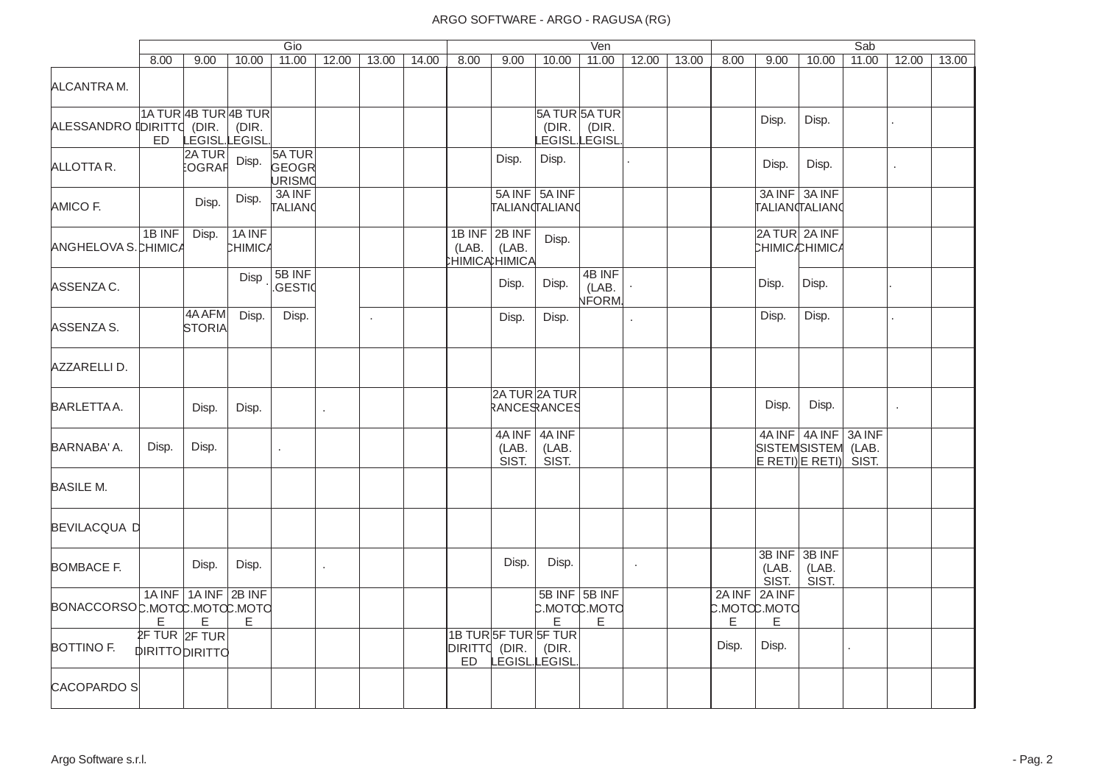|                              |                                            |                           |                         | Gio                       |              |            |       |                            |                                               |                                              | Ven                       |                |       |       |                                             |                          | Sab             |            |       |
|------------------------------|--------------------------------------------|---------------------------|-------------------------|---------------------------|--------------|------------|-------|----------------------------|-----------------------------------------------|----------------------------------------------|---------------------------|----------------|-------|-------|---------------------------------------------|--------------------------|-----------------|------------|-------|
|                              | 8.00                                       | 9.00                      | 10.00                   | 11.00                     | 12.00        | 13.00      | 14.00 | 8.00                       | 9.00                                          | 10.00                                        | 11.00                     | 12.00          | 13.00 | 8.00  | 9.00                                        | 10.00                    | 11.00           | 12.00      | 13.00 |
| ALCANTRA M.                  |                                            |                           |                         |                           |              |            |       |                            |                                               |                                              |                           |                |       |       |                                             |                          |                 |            |       |
| ALESSANDRO IDIRITTO (DIR.    | ED.                                        | 1A TUR 4B TUR 4B TUR      | (DIR.<br>LEGISL.LEGISL. |                           |              |            |       |                            |                                               | 5A TUR 5A TUR<br>(DIR.<br>_EGISL.LEGISL      | (DIR.                     |                |       |       | Disp.                                       | Disp.                    |                 |            |       |
| ALLOTTAR.                    |                                            | 2A TUR<br>:OGRAF          | Disp.                   | 5A TUR<br>GEOGR<br>URISMO |              |            |       |                            | Disp.                                         | Disp.                                        |                           |                |       |       | Disp.                                       | Disp.                    |                 | $\epsilon$ |       |
| AMICO F.                     |                                            | Disp.                     | Disp.                   | 3A INF<br>TALIANO         |              |            |       |                            |                                               | 5A INF 5A INF<br>TALIANCTALIANC              |                           |                |       |       | TALIANTALIANO                               | 3A INF 3A INF            |                 |            |       |
| ANGHELOVA S. CHIMICA         | 1B INF                                     | Disp.                     | 1A INF<br>CHIMICA       |                           |              |            |       | (LAB.                      | 1B INF 2B INF<br>(LAB.<br><b>HIMICAHIMICA</b> | Disp.                                        |                           |                |       |       | 2A TUR 2A INF<br><b>CHIMIC</b> CHIMICA      |                          |                 |            |       |
| ASSENZA C.                   |                                            |                           | Disp                    | 5B INF<br>.GESTI¢         |              |            |       |                            | Disp.                                         | Disp.                                        | 4B INF<br>(LAB.<br>NFORM. |                |       |       | Disp.                                       | Disp.                    |                 |            |       |
| ASSENZA S.                   |                                            | 4A AFM<br>STORIA          | Disp.                   | Disp.                     |              | $\epsilon$ |       |                            | Disp.                                         | Disp.                                        |                           | $\mathbb{Z}^2$ |       |       | Disp.                                       | Disp.                    |                 |            |       |
| AZZARELLI D.                 |                                            |                           |                         |                           |              |            |       |                            |                                               |                                              |                           |                |       |       |                                             |                          |                 |            |       |
| BARLETTA A.                  |                                            | Disp.                     | Disp.                   |                           | $\mathbf{r}$ |            |       |                            |                                               | 2A TUR 2A TUR<br>RANCESRANCES                |                           |                |       |       | Disp.                                       | Disp.                    |                 |            |       |
| BARNABA' A.                  | Disp.                                      | Disp.                     |                         | $\epsilon$                |              |            |       |                            | 4A INF<br>(LAB.<br>SIST.                      | 4A INF<br>(LAB.<br>SIST.                     |                           |                |       |       | SISTEMSISTEM (LAB.<br>$ E$ RETI) $ E$ RETI) | 4A INF 4A INF            | 3A INF<br>SIST. |            |       |
| <b>BASILE M.</b>             |                                            |                           |                         |                           |              |            |       |                            |                                               |                                              |                           |                |       |       |                                             |                          |                 |            |       |
| <b>BEVILACQUA D</b>          |                                            |                           |                         |                           |              |            |       |                            |                                               |                                              |                           |                |       |       |                                             |                          |                 |            |       |
| <b>BOMBACE F.</b>            |                                            | Disp.                     | Disp.                   |                           | $\mathbf{r}$ |            |       |                            | Disp.                                         | Disp.                                        |                           | $\mathbf{r}$   |       |       | 3B INF<br>(LAB.<br>SIST.                    | 3B INF<br>(LAB.<br>SIST. |                 |            |       |
| BONACCORSOC.MOTCC.MOTCC.MOTC | E                                          | 1A INF 1A INF 2B INF<br>E | Е                       |                           |              |            |       |                            |                                               | 5B INF 5B INF<br>C.MOTCC.MOTC<br>E           | E                         |                |       | E     | 2A INF 2A INF<br>р.мотф.мото<br>$\mathsf E$ |                          |                 |            |       |
| BOTTINO F.                   | $2F$ TUR $2F$ TUR<br><b>DIRITTODIRITTO</b> |                           |                         |                           |              |            |       | DIRITTO (DIR.<br><b>ED</b> |                                               | 1B TURSF TURSF TUR<br>(DIR.<br>LEGISL LEGISL |                           |                |       | Disp. | Disp.                                       |                          |                 |            |       |
| <b>CACOPARDO SI</b>          |                                            |                           |                         |                           |              |            |       |                            |                                               |                                              |                           |                |       |       |                                             |                          |                 |            |       |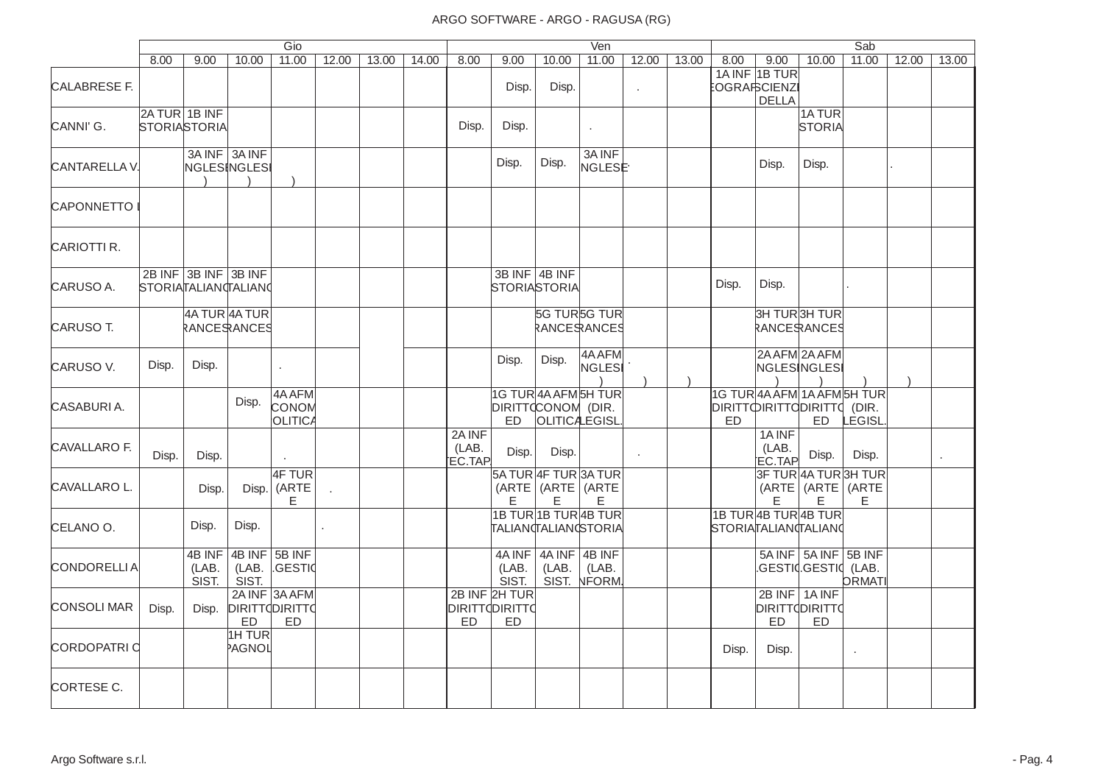|                     |                                      |                          |                               | Gio                           |       |       |       |                           |                                                     |                                                                    | Ven                           |       |       |                                   |                                               |                                                       | Sab             |       |       |
|---------------------|--------------------------------------|--------------------------|-------------------------------|-------------------------------|-------|-------|-------|---------------------------|-----------------------------------------------------|--------------------------------------------------------------------|-------------------------------|-------|-------|-----------------------------------|-----------------------------------------------|-------------------------------------------------------|-----------------|-------|-------|
|                     | 8.00                                 | 9.00                     | 10.00                         | 11.00                         | 12.00 | 13.00 | 14.00 | 8.00                      | 9.00                                                | 10.00                                                              | 11.00                         | 12.00 | 13.00 | 8.00                              | 9.00                                          | 10.00                                                 | 11.00           | 12.00 | 13.00 |
| <b>CALABRESE F.</b> |                                      |                          |                               |                               |       |       |       |                           | Disp.                                               | Disp.                                                              |                               |       |       |                                   | 1A INF 1B TUR<br>:OGRAҧCIENZI<br><b>DELLA</b> |                                                       |                 |       |       |
| CANNI'G.            | 2A TUR 1B INF<br><b>STORIASTORIA</b> |                          |                               |                               |       |       |       | Disp.                     | Disp.                                               |                                                                    | $\mathbf{r}$                  |       |       |                                   |                                               | 1A TUR<br><b>STORIA</b>                               |                 |       |       |
| CANTARELLA V.       |                                      |                          | 3A INF 3A INF<br>NGLESINGLESI |                               |       |       |       |                           | Disp.                                               | Disp.                                                              | 3A INF<br>NGLESE <sup>.</sup> |       |       |                                   | Disp.                                         | Disp.                                                 |                 |       |       |
| <b>CAPONNETTO</b>   |                                      |                          |                               |                               |       |       |       |                           |                                                     |                                                                    |                               |       |       |                                   |                                               |                                                       |                 |       |       |
| CARIOTTI R.         |                                      |                          |                               |                               |       |       |       |                           |                                                     |                                                                    |                               |       |       |                                   |                                               |                                                       |                 |       |       |
| CARUSO A.           |                                      | 2B INF 3B INF 3B INF     | STORIATALIANTALIANO           |                               |       |       |       |                           |                                                     | 3B INF 4B INF<br><b>STORIASTORIA</b>                               |                               |       |       | Disp.                             | Disp.                                         |                                                       |                 |       |       |
| CARUSO T.           |                                      |                          | 4A TUR 4A TUR<br>RANCERANCES  |                               |       |       |       |                           |                                                     |                                                                    | 5G TUR5G TUR<br>RANCERANCES   |       |       |                                   |                                               | 3H TUR3H TUR<br>RANCERANCES                           |                 |       |       |
| CARUSO V.           | Disp.                                | Disp.                    |                               | $\epsilon$                    |       |       |       |                           | Disp.                                               | Disp.                                                              | 4A AFM<br>NGLESI              |       |       |                                   | 2A AFM 2A AFM                                 | NGLESINGLESI                                          |                 |       |       |
| CASABURIA.          |                                      |                          | Disp.                         | 4A AFM<br>CONOM<br>OLITICA    |       |       |       |                           | ED.                                                 | 1G TUR 4A AFM 5H TUR<br>DIRITTOCONOM (DIR.<br><b>OLITICALEGISL</b> |                               |       |       | <b>DIRITTOIRITTODIRITTO</b><br>ED |                                               | 1G TUR 4A AFM 1A AFM 5H TUR<br><b>ED</b>              | (DIR.<br>LEGISL |       |       |
| CAVALLARO F.        | Disp.                                | Disp.                    |                               |                               |       |       |       | 2A INF<br>(LAB.<br>EC.TAP | Disp.                                               | Disp.                                                              |                               |       |       |                                   | 1A INF<br>(LAB.<br>EC.TAP                     | Disp.                                                 | Disp.           |       | ×,    |
| CAVALLARO L.        |                                      | Disp.                    |                               | 4F TUR<br>Disp. (ARTE<br>E.   |       |       |       |                           | E                                                   | 5A TUR 4F TUR 3A TUR<br>(ARTE   (ARTE   (ARTE<br>E                 | E.                            |       |       |                                   | E                                             | 3F TUR 4A TUR 3H TUR<br>(ARTE   (ARTE   (ARTE<br>Е    | E.              |       |       |
| CELANO O.           |                                      | Disp.                    | Disp.                         |                               |       |       |       |                           |                                                     | 1B TUR 1B TUR 4B TUR<br>TALIAN TALIAN STORIA                       |                               |       |       | STORIATALIANTALIANO               | 1B TUR 4B TUR 4B TUR                          |                                                       |                 |       |       |
| <b>CONDORELLIA</b>  |                                      | 4B INF<br>(LAB.<br>SIST. | SIST.                         | 4B INF 5B INF<br>(LAB. GESTIO |       |       |       |                           | 4A INF<br>(LAB.<br>SIST.                            | 4A INF 4B INF<br>(LAB.                                             | (LAB.<br>SIST. NFORM.         |       |       |                                   |                                               | 5A INF 5A INF 5B INF<br>GESTI¢GESTI¢ (LAB.            | <b>ORMATI</b>   |       |       |
| <b>CONSOLI MAR</b>  | Disp.                                | Disp.                    | <b>DIRITTODIRITTO</b><br>ED   | 2A INF 3A AFM<br><b>ED</b>    |       |       |       | ED                        | 2B INF 2H TUR<br><b>DIRITT(DIRITT(</b><br><b>ED</b> |                                                                    |                               |       |       |                                   | <b>ED</b>                                     | 2B INF   1A INF<br><b>DIRITTODIRITTO</b><br><b>ED</b> |                 |       |       |
| <b>CORDOPATRI C</b> |                                      |                          | 1H TUR<br>PAGNOL              |                               |       |       |       |                           |                                                     |                                                                    |                               |       |       | Disp.                             | Disp.                                         |                                                       | $\cdot$         |       |       |
| CORTESE C.          |                                      |                          |                               |                               |       |       |       |                           |                                                     |                                                                    |                               |       |       |                                   |                                               |                                                       |                 |       |       |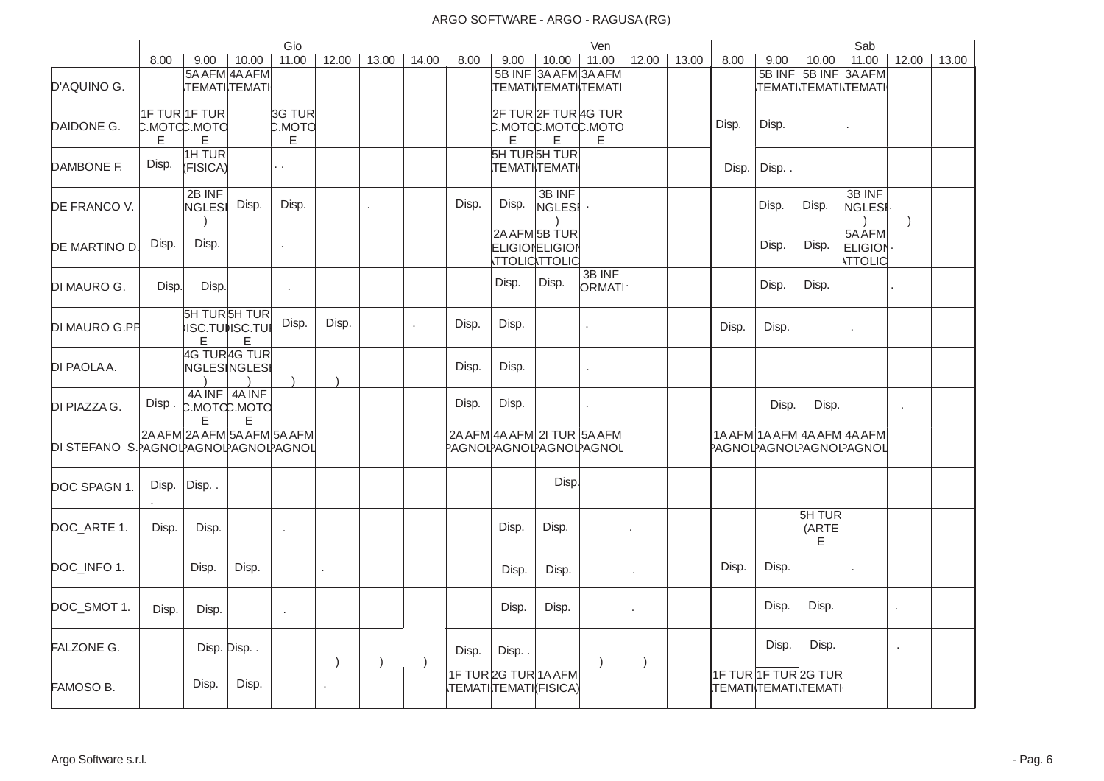|                                       |                    |                        |                                                  | Gio                          |            |       |              |       |         |                                                               | Ven             |                      |       |       |                                               |                             | Sab                                                             |         |       |
|---------------------------------------|--------------------|------------------------|--------------------------------------------------|------------------------------|------------|-------|--------------|-------|---------|---------------------------------------------------------------|-----------------|----------------------|-------|-------|-----------------------------------------------|-----------------------------|-----------------------------------------------------------------|---------|-------|
|                                       | 8.00               | 9.00                   | 10.00                                            | 11.00                        | 12.00      | 13.00 | 14.00        | 8.00  | 9.00    | 10.00                                                         | 11.00           | 12.00                | 13.00 | 8.00  | 9.00                                          | 10.00                       | 11.00                                                           | 12.00   | 13.00 |
| D'AQUINO G.                           |                    |                        | 5A AFM 4A AFM<br><b>TEMATITEMATI</b>             |                              |            |       |              |       |         | 5B INF 3A AFM 3A AFM<br><u> ТЕМАТІ  ТЕМАТІ  ТЕМАТІ </u>       |                 |                      |       |       |                                               |                             | 5B INF 5B INF 3A AFM<br>\ТЕМАТI <b>\</b> ТЕМАТI <b>\</b> ТЕМАТI |         |       |
| DAIDONE G.                            | C.MOTOC.MOTO<br>E. | 1F TUR 1F TUR<br>E     |                                                  | 3G TUR<br><b>C.MOTO</b><br>E |            |       |              |       | E       | 2F TUR 2F TUR 4G TUR<br>C.MOTCC.MOTCC.MOTC<br>E               | Е               |                      |       | Disp. | Disp.                                         |                             |                                                                 |         |       |
| DAMBONE F.                            | Disp.              | 1H TUR<br>(FISICA)     |                                                  | Н,                           |            |       |              |       |         | <b>SH TURSH TUR</b><br><b>TEMATI TEMATI</b>                   |                 |                      |       | Disp. | Disp                                          |                             |                                                                 |         |       |
| DE FRANCO V.                          |                    | 2B INF<br><b>NGLES</b> | Disp.                                            | Disp.                        |            |       |              | Disp. | Disp.   | 3B INF<br>NGLESI                                              |                 |                      |       |       | Disp.                                         | Disp.                       | 3B INF<br>NGLESI                                                |         |       |
| DE MARTINO D.                         | Disp.              | Disp.                  |                                                  | ä,                           |            |       |              |       |         | 2A AFM 5B TUR<br><b>ELIGIONELIGION</b><br><b>TTOLICTTOLIC</b> |                 |                      |       |       | Disp.                                         | Disp.                       | 5A AFM<br><b>ELIGION</b><br><b>TTOLIC</b>                       |         |       |
| DI MAURO G.                           | Disp.              | Disp.                  |                                                  | $\cdot$                      |            |       |              |       | Disp.   | Disp.                                                         | 3B INF<br>ORMAT |                      |       |       | Disp.                                         | Disp.                       |                                                                 |         |       |
| DI MAURO G.PF                         |                    | E                      | <b>SH TURSH TUR</b><br><b>ISC.TUISC.TUI</b><br>E | Disp.                        | Disp.      |       | $\mathbf{r}$ | Disp. | Disp.   |                                                               |                 |                      |       | Disp. | Disp.                                         |                             |                                                                 |         |       |
| DI PAOLAA.                            |                    |                        | 4G TUR4G TUR<br><b>NGLES NGLES</b>               |                              |            |       |              | Disp. | Disp.   |                                                               |                 |                      |       |       |                                               |                             |                                                                 |         |       |
| DI PIAZZA G.                          | Disp.              | E                      | 4A INF 4A INF<br>С.МОТФ.МОТО<br>E                |                              |            |       |              | Disp. | Disp.   |                                                               | ÷               |                      |       |       | Disp.                                         | Disp.                       |                                                                 | $\cdot$ |       |
| DI STEFANO S.PAGNOLPAGNOLPAGNOLPAGNOL |                    |                        | 2A AFM 2A AFM 5A AFM 5A AFM                      |                              |            |       |              |       |         | 2A AFM 4A AFM 2I TUR 5A AFM<br>PAGNOLPAGNOLPAGNOLPAGNOL       |                 |                      |       |       |                                               |                             | 1A AFM 1A AFM 4A AFM 4A AFM<br>PAGNOLPAGNOLPAGNOLPAGNOL         |         |       |
| DOC SPAGN 1.                          | Disp.              | Disp                   |                                                  |                              |            |       |              |       |         | Disp.                                                         |                 |                      |       |       |                                               |                             |                                                                 |         |       |
| DOC_ARTE 1.                           | Disp.              | Disp.                  |                                                  | ٠                            |            |       |              |       | Disp.   | Disp.                                                         |                 |                      |       |       |                                               | <b>5H TUR</b><br>(ARTE<br>E |                                                                 |         |       |
| DOC INFO 1.                           |                    | Disp.                  | Disp.                                            |                              | $\epsilon$ |       |              |       | Disp.   | Disp.                                                         |                 | $\ddot{\phantom{a}}$ |       | Disp. | Disp.                                         |                             |                                                                 |         |       |
| DOC_SMOT 1.                           | Disp.              | Disp.                  |                                                  | $\epsilon$                   |            |       |              |       | Disp.   | Disp.                                                         |                 | ä,                   |       |       | Disp.                                         | Disp.                       |                                                                 | $\cdot$ |       |
| <b>FALZONE G.</b>                     |                    |                        | Disp. Disp                                       |                              |            |       | $\lambda$    | Disp. | Disp. . |                                                               |                 |                      |       |       | Disp.                                         | Disp.                       |                                                                 | $\cdot$ |       |
| FAMOSO B.                             |                    | Disp.                  | Disp.                                            |                              |            |       |              |       |         | 1F TURZG TUR 1A AFM<br>TEMATI TEMATI (FISICA)                 |                 |                      |       |       | 1F TUR 1F TUR 2G TUR<br>.TEMATI\TEMATI\TEMATI |                             |                                                                 |         |       |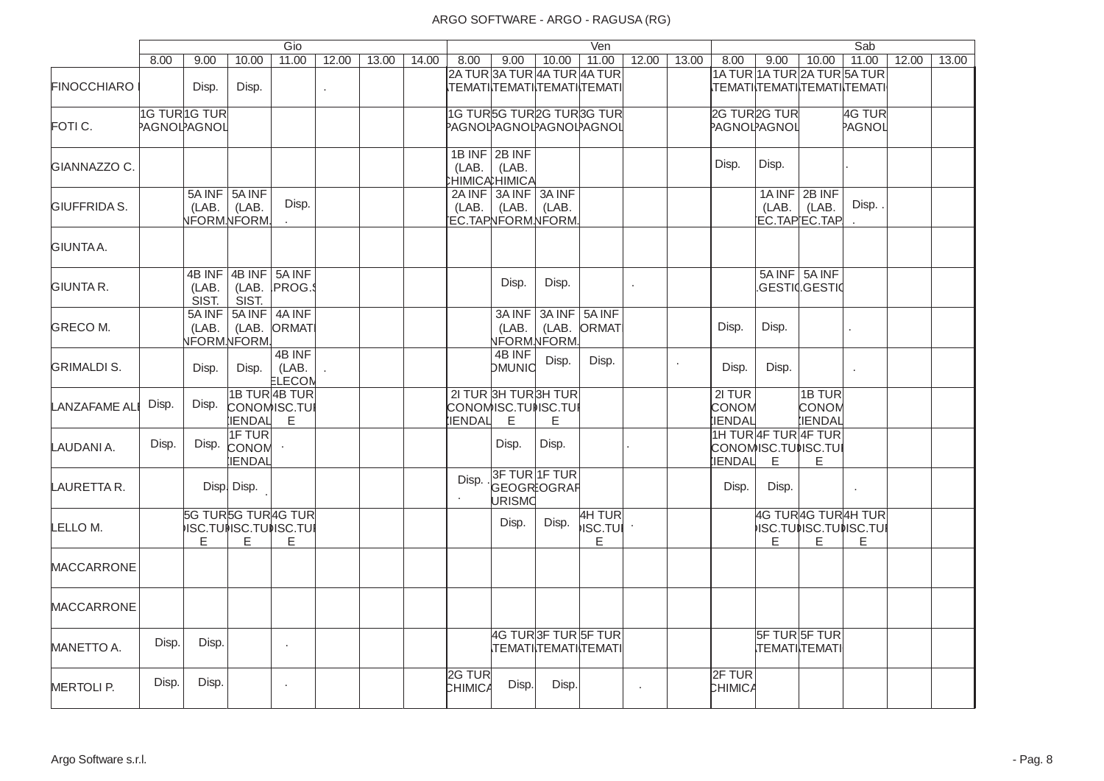|                      |                              |                          |                                              | Gio                                                   |       |       |       |                                     |                                         |                                                      | Ven                                                            |       |       |                                          |       |                                                             | Sab              |       |       |
|----------------------|------------------------------|--------------------------|----------------------------------------------|-------------------------------------------------------|-------|-------|-------|-------------------------------------|-----------------------------------------|------------------------------------------------------|----------------------------------------------------------------|-------|-------|------------------------------------------|-------|-------------------------------------------------------------|------------------|-------|-------|
|                      | 8.00                         | 9.00                     | 10.00                                        | 11.00                                                 | 12.00 | 13.00 | 14.00 | 8.00                                | 9.00                                    | 10.00                                                | 11.00                                                          | 12.00 | 13.00 | 8.00                                     | 9.00  | 10.00                                                       | 11.00            | 12.00 | 13.00 |
| <b>FINOCCHIARO</b>   |                              | Disp.                    | Disp.                                        |                                                       |       |       |       |                                     |                                         |                                                      | 2A TUR 3A TUR 4A TUR 4A TUR<br> ΤΕΜΑΤΙ  ΤΕΜΑΤΙ  ΤΕΜΑΤΙ  ΤΕΜΑΤΙ |       |       |                                          |       | 1A TUR 1A TUR 2A TUR 5A TUR<br>.TEMATI\TEMATI\TEMATI\TEMATI |                  |       |       |
| FOTI C.              | 1G TUR1G TUR<br>PAGNOLPAGNOL |                          |                                              |                                                       |       |       |       | PAGNOLPAGNOLPAGNOLPAGNOL            |                                         |                                                      | 1G TURSG TUR2G TUR3G TUR                                       |       |       | 2G TUR <sub>2G TUR</sub><br>PAGNOLPAGNOL |       |                                                             | 4G TUR<br>PAGNOL |       |       |
| <b>GIANNAZZO C.</b>  |                              |                          |                                              |                                                       |       |       |       | (LAB.                               | 1B INF 2B INF<br>(LAB.<br>:HIMICAHIMICA |                                                      |                                                                |       |       | Disp.                                    | Disp. |                                                             |                  |       |       |
| <b>GIUFFRIDA S.</b>  |                              | (LAB.                    | 5A INF 5A INF<br>(LAB.<br><b>NFORMNFORM.</b> | Disp.                                                 |       |       |       | (LAB.                               | $2A$ INF $3A$ INF $3A$ INF<br>(LAB.     | (LAB.<br>EC.TAPNFORM.NFORM.                          |                                                                |       |       |                                          | (LAB. | 1A INF 2B INF<br>(LAB.<br>EC.TAPEC.TAP                      | Disp             |       |       |
| GIUNTA A.            |                              |                          |                                              |                                                       |       |       |       |                                     |                                         |                                                      |                                                                |       |       |                                          |       |                                                             |                  |       |       |
| <b>GIUNTA R.</b>     |                              | 4B INF<br>(LAB.<br>SIST. | 4B INF 5A INF<br>SIST.                       | (LAB. PROG.                                           |       |       |       |                                     | Disp.                                   | Disp.                                                |                                                                |       |       |                                          |       | 5A INF 5A INF<br>.GESTI¢.GESTI¢                             |                  |       |       |
| <b>GRECO M.</b>      |                              | 5A INF<br>(LAB.          | <b>NFORMNFORM.</b>                           | 5A INF 4A INF<br>(LAB. ORMAT                          |       |       |       |                                     | (LAB.                                   | 3A INF 3A INF 5A INF<br>(LAB.<br><b>NFORM.NFORM.</b> | ORMAT                                                          |       |       | Disp.                                    | Disp. |                                                             |                  |       |       |
| <b>GRIMALDI S.</b>   |                              | Disp.                    | Disp.                                        | 4B INF<br>(LAB.<br>ELECON                             |       |       |       |                                     | 4B INF<br><b>DMUNIC</b>                 | Disp.                                                | Disp.                                                          |       |       | Disp.                                    | Disp. |                                                             |                  |       |       |
| <b>LANZAFAME ALI</b> | Disp.                        | Disp.                    | <b>IENDAL</b>                                | 1B TUR 4B TUR<br>CONOMISC.TUI<br>E                    |       |       |       | CONOMISC.TUNSC.TUI<br><b>IENDAL</b> | $\mathsf E$                             | 21 TUR 3H TUR3H TUR<br>E                             |                                                                |       |       | 2I TUR<br>CONOM<br><b>IENDAL</b>         |       | 1B TUR<br>CONOM<br><b>IENDAL</b>                            |                  |       |       |
| LAUDANI A.           | Disp.                        | Disp.                    | <b>1F TUR</b><br>CONOM<br><b>IENDAL</b>      |                                                       |       |       |       |                                     | Disp.                                   | Disp.                                                |                                                                |       |       | <b>IENDAL</b>                            | E     | 1H TUR 4F TUR 4F TUR<br>CONOMISC.TUNSC.TUI<br>E             |                  |       |       |
| LAURETTA R.          |                              |                          | Disp. Disp.                                  |                                                       |       |       |       | Disp.                               | <b>URISMO</b>                           | 3F TUR 1F TUR<br>GEOGR:OGRAF                         |                                                                |       |       | Disp.                                    | Disp. |                                                             | $\epsilon$       |       |       |
| LELLO M.             |                              | E                        | E                                            | 5G TUR5G TUR4G TUR<br><b>ISC.TUISC.TUISC.TUI</b><br>E |       |       |       |                                     | Disp.                                   | Disp.                                                | 4H TUR<br><b>ISC.TUI</b><br>E.                                 |       |       |                                          | E     | 4G TUR4G TUR4H TUR<br><b>ISC.TUILSC.TUILSC.TUI</b><br>E     | Е                |       |       |
| <b>MACCARRONE</b>    |                              |                          |                                              |                                                       |       |       |       |                                     |                                         |                                                      |                                                                |       |       |                                          |       |                                                             |                  |       |       |
| <b>MACCARRONE</b>    |                              |                          |                                              |                                                       |       |       |       |                                     |                                         |                                                      |                                                                |       |       |                                          |       |                                                             |                  |       |       |
| MANETTO A.           | Disp.                        | Disp.                    |                                              | $\epsilon$                                            |       |       |       |                                     |                                         |                                                      | <b>4G TUR3F TUR5F TUR</b><br>.TEMATI TEMATI TEMATI             |       |       |                                          |       | <b>5F TUR 5F TUR</b><br><b>TEMATITEMATI</b>                 |                  |       |       |
| <b>MERTOLI P.</b>    | Disp.                        | Disp.                    |                                              | $\cdot$                                               |       |       |       | 2G TUR<br><b>CHIMICA</b>            | Disp.                                   | Disp.                                                |                                                                |       |       | 2F TUR<br><b>CHIMICA</b>                 |       |                                                             |                  |       |       |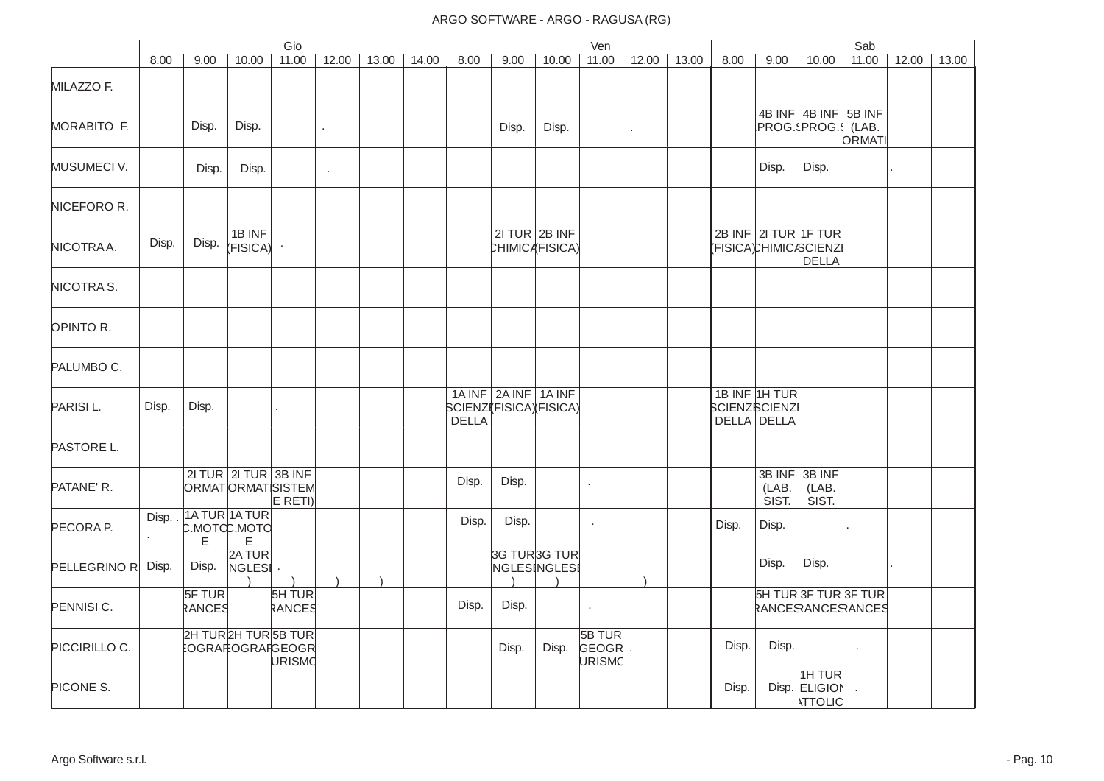|                    |       |                  |                                            | Gio              |            |       |       |       |                                                |                                      | Ven                              |              |       |       |                                                      |                                               | Sab           |       |       |
|--------------------|-------|------------------|--------------------------------------------|------------------|------------|-------|-------|-------|------------------------------------------------|--------------------------------------|----------------------------------|--------------|-------|-------|------------------------------------------------------|-----------------------------------------------|---------------|-------|-------|
|                    | 8.00  | 9.00             | 10.00                                      | 11.00            | 12.00      | 13.00 | 14.00 | 8.00  | 9.00                                           | 10.00                                | 11.00                            | 12.00        | 13.00 | 8.00  | 9.00                                                 | 10.00                                         | 11.00         | 12.00 | 13.00 |
| MILAZZO F.         |       |                  |                                            |                  |            |       |       |       |                                                |                                      |                                  |              |       |       |                                                      |                                               |               |       |       |
| <b>MORABITO F.</b> |       | Disp.            | Disp.                                      |                  | $\epsilon$ |       |       |       | Disp.                                          | Disp.                                |                                  | $\mathbf{r}$ |       |       |                                                      | 4B INF 4B INF 5B INF<br>PROG.\$PROG.\$ (LAB.  | <b>ORMATI</b> |       |       |
| MUSUMECI V.        |       | Disp.            | Disp.                                      |                  | $\cdot$    |       |       |       |                                                |                                      |                                  |              |       |       | Disp.                                                | Disp.                                         |               |       |       |
| NICEFORO R.        |       |                  |                                            |                  |            |       |       |       |                                                |                                      |                                  |              |       |       |                                                      |                                               |               |       |       |
| NICOTRAA.          | Disp. | Disp.            | 1B INF<br>(FISICA)                         |                  |            |       |       |       |                                                | $2I TUR$ $2B INF$<br>CHIMICA(FISICA) |                                  |              |       |       | 2B INF 2I TUR 1F TUR                                 | (FISICA)CHIMIC/SCIENZI<br><b>DELLA</b>        |               |       |       |
| NICOTRAS.          |       |                  |                                            |                  |            |       |       |       |                                                |                                      |                                  |              |       |       |                                                      |                                               |               |       |       |
| OPINTO R.          |       |                  |                                            |                  |            |       |       |       |                                                |                                      |                                  |              |       |       |                                                      |                                               |               |       |       |
| PALUMBO C.         |       |                  |                                            |                  |            |       |       |       |                                                |                                      |                                  |              |       |       |                                                      |                                               |               |       |       |
| PARISIL.           | Disp. | Disp.            |                                            |                  |            |       |       | DELLA | 1A INF 2A INF 1A INF<br>SCIENZ(FISICA)(FISICA) |                                      |                                  |              |       |       | 1B INF 1H TUR<br><b>SCIENZSCIENZI</b><br>DELLA DELLA |                                               |               |       |       |
| PASTORE L.         |       |                  |                                            |                  |            |       |       |       |                                                |                                      |                                  |              |       |       |                                                      |                                               |               |       |       |
| PATANE' R.         |       |                  | $2I TUR$ 2I TUR 3B INF<br>ORMATORMATSISTEM | E RETI)          |            |       |       | Disp. | Disp.                                          |                                      | $\epsilon$                       |              |       |       | 3B INF<br>(LAB.<br>SIST.                             | 3B INF<br>(LAB.<br>SIST.                      |               |       |       |
| PECORA P.          | Disp. | E.               | 1A TUR 1A TUR<br>С.МОТФ.МОТО<br>E          |                  |            |       |       | Disp. | Disp.                                          |                                      | $\cdot$                          |              |       | Disp. | Disp.                                                |                                               |               |       |       |
| PELLEGRINO R       | Disp. | Disp.            | 2A TUR<br>NGLESI ·                         |                  |            |       |       |       |                                                | 3G TUR3G TUR<br>NGLESINGLESI         |                                  |              |       |       | Disp.                                                | Disp.                                         |               |       |       |
| PENNISI C.         |       | 5F TUR<br>RANCES |                                            | 5H TUR<br>RANCES |            |       |       | Disp. | Disp.                                          |                                      | $\cdot$                          |              |       |       |                                                      | <b>SH TUR3F TUR3F TUR</b><br>RANCERANCERANCES |               |       |       |
| PICCIRILLO C.      |       |                  | 2H TUR 2H TUR 5B TUR<br>EOGRAI‡OGRAI¦GEOGR | URISMO           |            |       |       |       | Disp.                                          | Disp.                                | 5B TUR<br>GEOGR<br><b>URISMO</b> |              |       | Disp. | Disp.                                                |                                               | $\cdot$       |       |       |
| PICONE S.          |       |                  |                                            |                  |            |       |       |       |                                                |                                      |                                  |              |       | Disp. |                                                      | 1H TUR<br>Disp. ELIGION<br><b>ATTOLIC</b>     |               |       |       |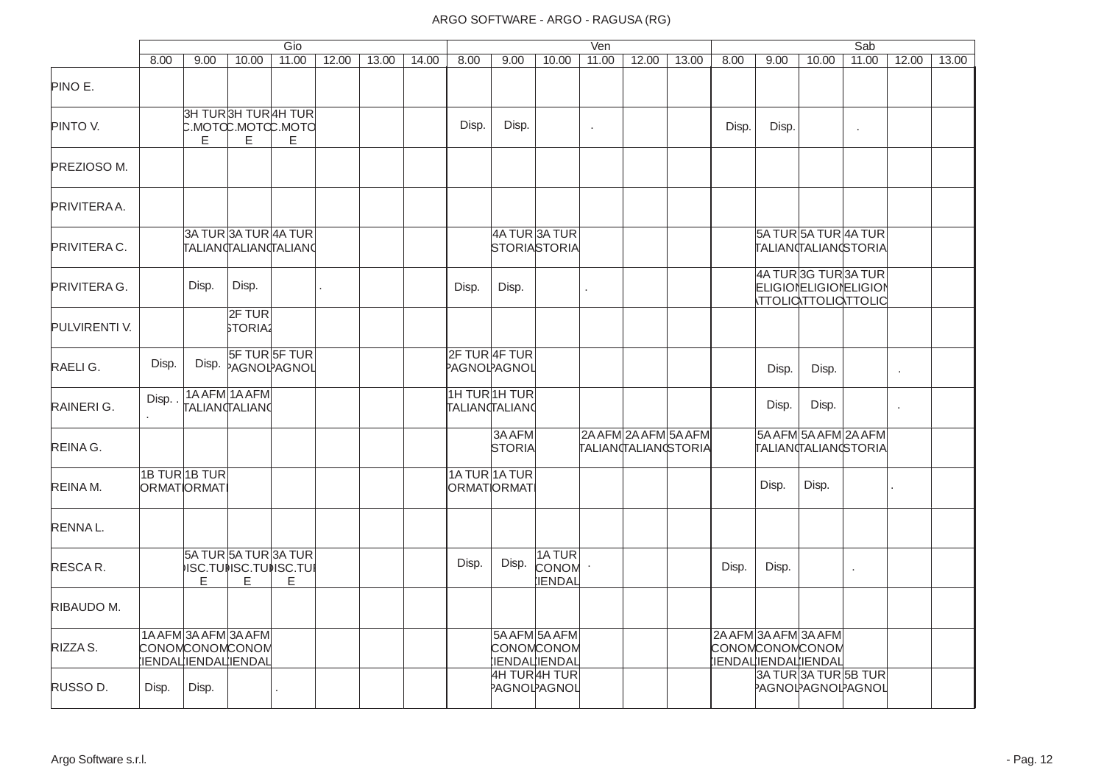|               |                        |                      |                                            | Gio                                                |       |       |       |               |                         |                                             | Ven     |                                             |       |       |       |                                                                      | Sab                                                 |         |       |
|---------------|------------------------|----------------------|--------------------------------------------|----------------------------------------------------|-------|-------|-------|---------------|-------------------------|---------------------------------------------|---------|---------------------------------------------|-------|-------|-------|----------------------------------------------------------------------|-----------------------------------------------------|---------|-------|
|               | 8.00                   | 9.00                 | 10.00                                      | 11.00                                              | 12.00 | 13.00 | 14.00 | 8.00          | 9.00                    | 10.00                                       | 11.00   | 12.00                                       | 13.00 | 8.00  | 9.00  | 10.00                                                                | 11.00                                               | 12.00   | 13.00 |
| PINO E.       |                        |                      |                                            |                                                    |       |       |       |               |                         |                                             |         |                                             |       |       |       |                                                                      |                                                     |         |       |
| PINTO V.      |                        | Е                    | E                                          | 3H TUR3H TUR4H TUR<br>C.MOTCC.MOTCC.MOTC<br>E.     |       |       |       | Disp.         | Disp.                   |                                             | $\cdot$ |                                             |       | Disp. | Disp. |                                                                      | $\epsilon$                                          |         |       |
| PREZIOSO M.   |                        |                      |                                            |                                                    |       |       |       |               |                         |                                             |         |                                             |       |       |       |                                                                      |                                                     |         |       |
| PRIVITERAA.   |                        |                      |                                            |                                                    |       |       |       |               |                         |                                             |         |                                             |       |       |       |                                                                      |                                                     |         |       |
| PRIVITERA C.  |                        |                      |                                            | 3A TUR 3A TUR 4A TUR<br><b>TALIANTALIANTALIANO</b> |       |       |       |               |                         | 4A TUR 3A TUR<br>STORIASTORIA               |         |                                             |       |       |       | 5A TUR 5A TUR 4A TUR                                                 | TALIANTALIANGSTORIA                                 |         |       |
| PRIVITERA G.  |                        | Disp.                | Disp.                                      |                                                    |       |       |       | Disp.         | Disp.                   |                                             | ¥.      |                                             |       |       |       | 4A TUR3G TUR3A TUR                                                   | <b>ELIGIONELIGIONELIGION</b><br>Ιττοιιαττοιιαττοιια |         |       |
| PULVIRENTI V. |                        |                      | 2F TUR<br><b>STORIA2</b>                   |                                                    |       |       |       |               |                         |                                             |         |                                             |       |       |       |                                                                      |                                                     |         |       |
| RAELIG.       | Disp.                  |                      |                                            | 5F TURSF TUR<br>Disp. PAGNOLPAGNOL                 |       |       |       | PAGNOLPAGNOL  | 2F TUR 4F TUR           |                                             |         |                                             |       |       | Disp. | Disp.                                                                |                                                     | $\cdot$ |       |
| RAINERI G.    | Disp.<br>¥.            |                      | 1A AFM 1A AFM<br><b>TALIAN</b> TALIANO     |                                                    |       |       |       | TALIANTALIANO | 1H TUR 1H TUR           |                                             |         |                                             |       |       | Disp. | Disp.                                                                |                                                     |         |       |
| REINA G.      |                        |                      |                                            |                                                    |       |       |       |               | 3A AFM<br><b>STORIA</b> |                                             |         | 2A AFM 2A AFM 5A AFM<br>TALIANTALIANGSTORIA |       |       |       |                                                                      | 5A AFM 5A AFM 2A AFM<br>TALIANTALIANGSTORIA         |         |       |
| REINA M.      | ORMATORMAT             | <b>1B TUR 1B TUR</b> |                                            |                                                    |       |       |       | ORMATORMAT    | 1A TUR 1A TUR           |                                             |         |                                             |       |       | Disp. | Disp.                                                                |                                                     |         |       |
| RENNAL.       |                        |                      |                                            |                                                    |       |       |       |               |                         |                                             |         |                                             |       |       |       |                                                                      |                                                     |         |       |
| RESCAR.       |                        | E                    | E                                          | 5A TUR 5A TUR 3A TUR<br>ISC.TUNSC.TUNSC.TUI<br>E   |       |       |       | Disp.         | Disp.                   | 1ATUR<br>CONOM<br><b>IENDAL</b>             |         |                                             |       | Disp. | Disp. |                                                                      |                                                     |         |       |
| RIBAUDO M.    |                        |                      |                                            |                                                    |       |       |       |               |                         |                                             |         |                                             |       |       |       |                                                                      |                                                     |         |       |
| RIZZA S.      | <b>CONOMCONOMCONOM</b> |                      | 1A AFM 3A AFM 3A AFM<br>IENDALIENDALIENDAL |                                                    |       |       |       |               |                         | 5A AFM 5A AFM<br>CONOMCONOM<br>IENDALIENDAL |         |                                             |       |       |       | 2A AFM 3A AFM 3A AFM<br><b>CONOMCONOMCONOM</b><br>IENDALIENDALIENDAL |                                                     |         |       |
| RUSSO D.      | Disp.                  | Disp.                |                                            |                                                    |       |       |       |               |                         | 4H TUR 4H TUR<br>PAGNOLPAGNOL               |         |                                             |       |       |       |                                                                      | 3A TUR3A TUR5B TUR<br>PAGNOLPAGNOLPAGNOL            |         |       |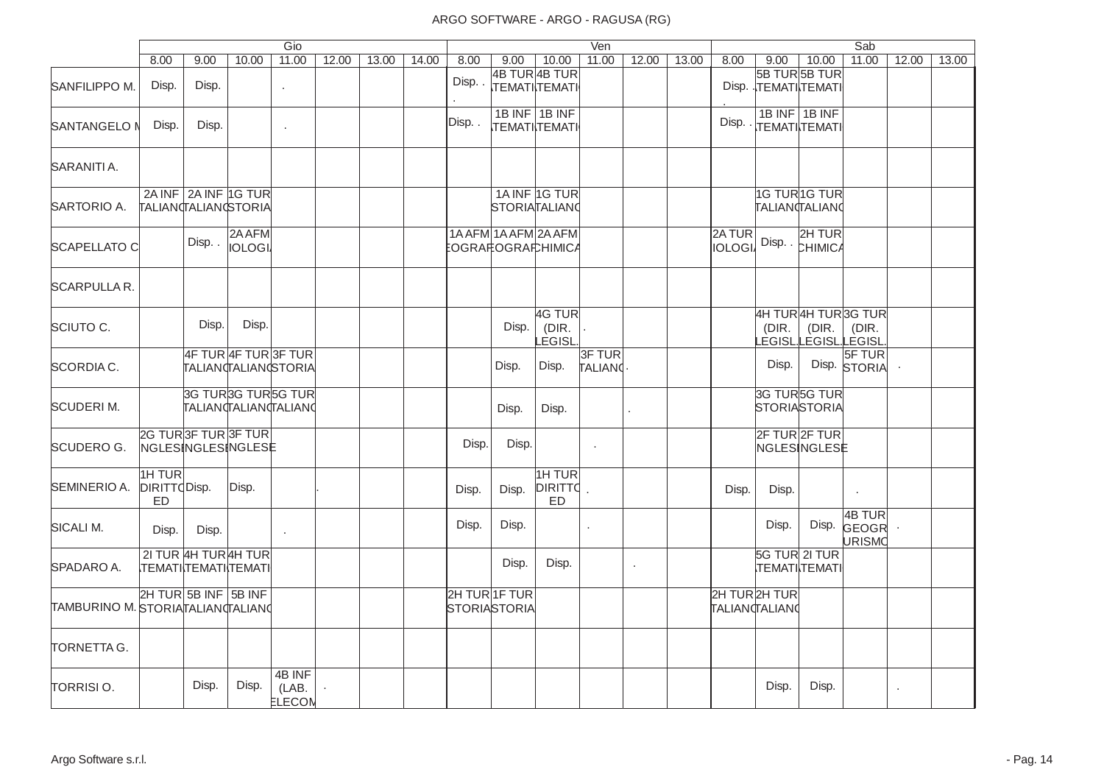|                                   |                               |                                                     |                         | Gio                       |       |       |       |                               |       |                                       | Ven                |            |       |                        |                               |                                                      | Sab                       |       |       |
|-----------------------------------|-------------------------------|-----------------------------------------------------|-------------------------|---------------------------|-------|-------|-------|-------------------------------|-------|---------------------------------------|--------------------|------------|-------|------------------------|-------------------------------|------------------------------------------------------|---------------------------|-------|-------|
|                                   | 8.00                          | 9.00                                                | 10.00                   | 11.00                     | 12.00 | 13.00 | 14.00 | 8.00                          | 9.00  | 10.00                                 | 11.00              | 12.00      | 13.00 | 8.00                   | 9.00                          | 10.00                                                | 11.00                     | 12.00 | 13.00 |
| SANFILIPPO M.                     | Disp.                         | Disp.                                               |                         | $\mathbf{r}$              |       |       |       | Disp                          |       | 4B TUR 4B TUR<br><b>TEMATI TEMATI</b> |                    |            |       |                        | Disp. TEMATITEMATI            | 5B TUR5B TUR                                         |                           |       |       |
| <b>SANTANGELO N</b>               | Disp.                         | Disp.                                               |                         | $\cdot$                   |       |       |       | Disp                          |       | 1B INF 1B INF<br><b>TEMATI TEMATI</b> |                    |            |       |                        | Disp. TEMATITEMATI            | 1B INF $\vert$ 1B INF                                |                           |       |       |
| SARANITI A.                       |                               |                                                     |                         |                           |       |       |       |                               |       |                                       |                    |            |       |                        |                               |                                                      |                           |       |       |
| SARTORIO A.                       |                               | 2A INF 2A INF 1G TUR<br>TALIAN TALIAN STORIA        |                         |                           |       |       |       |                               |       | 1A INF 1G TUR<br><b>STORIATALIANO</b> |                    |            |       |                        |                               | 1G TUR <sub>1G TUR</sub><br><b>TALIANTALIANO</b>     |                           |       |       |
| <b>SCAPELLATO C</b>               |                               | Disp                                                | 2A AFM<br><b>IOLOGI</b> |                           |       |       |       | EOGRAஈOGRA⊓CHIMIC4            |       | 1A AFM 1A AFM 2A AFM                  |                    |            |       | 2ATUR<br><b>IOLOGI</b> |                               | 2H TUR<br>Disp. <b>EHIMICA</b>                       |                           |       |       |
| <b>SCARPULLA R.</b>               |                               |                                                     |                         |                           |       |       |       |                               |       |                                       |                    |            |       |                        |                               |                                                      |                           |       |       |
| <b>SCIUTO C.</b>                  |                               | Disp.                                               | Disp.                   |                           |       |       |       |                               | Disp. | 4G TUR<br>(DIR.<br>EGISL.             |                    |            |       |                        | (DIR.                         | 4H TUR4H TUR3G TUR<br>(DIR.<br>_EGISL.LEGISL.LEGISL. | (DIR.                     |       |       |
| SCORDIA C.                        |                               |                                                     | 4F TUR 4F TUR 3F TUR    | TALIAN TALIAN STORIA      |       |       |       |                               | Disp. | Disp.                                 | 3F TUR<br>TALIANO. |            |       |                        | Disp.                         |                                                      | 5F TUR<br>Disp. STORIA    |       |       |
| <b>SCUDERIM.</b>                  |                               | TALIANTALIANTALIANO                                 |                         | <b>3G TUR3G TUR5G TUR</b> |       |       |       |                               | Disp. | Disp.                                 |                    |            |       |                        |                               | 3G TUR5G TUR<br><b>STORIASTORIA</b>                  |                           |       |       |
| SCUDERO G.                        |                               | 2G TUR3F TUR3F TUR<br>NGLESINGLESINGLESE            |                         |                           |       |       |       | Disp.                         | Disp. |                                       | $\mathbf{r}$       |            |       |                        |                               | 2F TUR 2F TUR<br>NGLESINGLESE                        |                           |       |       |
| SEMINERIO A.                      | 1H TUR<br>DIRITTO Disp.<br>ED |                                                     | Disp.                   |                           |       |       |       | Disp.                         | Disp. | 1H TUR<br><b>DIRITTO</b><br>ED        |                    |            |       | Disp.                  | Disp.                         |                                                      | $\cdot$                   |       |       |
| SICALI M.                         | Disp.                         | Disp.                                               |                         | $\epsilon$                |       |       |       | Disp.                         | Disp. |                                       |                    |            |       |                        | Disp.                         | Disp.                                                | 4B TUR<br>GEOGR<br>URISMO |       |       |
| SPADARO A.                        |                               | 21 TUR 4H TUR 4H TUR<br><b>TEMATI TEMATI TEMATI</b> |                         |                           |       |       |       |                               | Disp. | Disp.                                 |                    | $\epsilon$ |       |                        | 5G TUR 2I TUR<br>TEMATITEMATI |                                                      |                           |       |       |
| TAMBURINO M. STORIATALIAN TALIANO |                               | 2H TUR 5B INF 5B INF                                |                         |                           |       |       |       | 2H TUR 1F TUR<br>STORIASTORIA |       |                                       |                    |            |       | 2H TUR2H TUR           | TALIAN TALIANO                |                                                      |                           |       |       |
| TORNETTA G.                       |                               |                                                     |                         |                           |       |       |       |                               |       |                                       |                    |            |       |                        |                               |                                                      |                           |       |       |
| TORRISIO.                         |                               | Disp.                                               | Disp.                   | 4B INF<br>(LAB.<br>ELECON |       |       |       |                               |       |                                       |                    |            |       |                        | Disp.                         | Disp.                                                |                           |       |       |